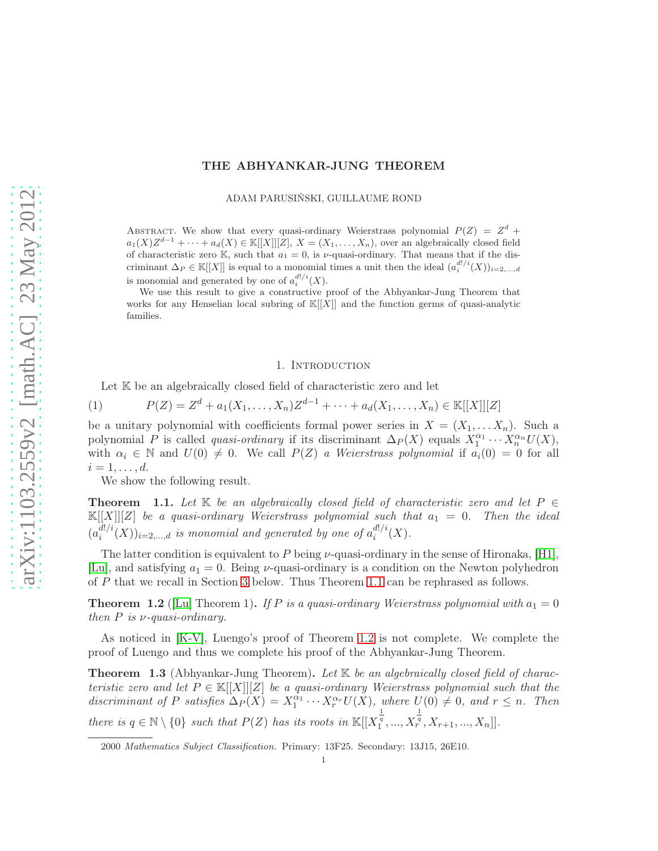# THE ABHYANKAR-JUNG THEOREM

ADAM PARUSIŃSKI, GUILLAUME ROND

ABSTRACT. We show that every quasi-ordinary Weierstrass polynomial  $P(Z) = Z<sup>d</sup> +$  $a_1(X)Z^{d-1} + \cdots + a_d(X) \in \mathbb{K}[[X]][Z], X = (X_1, \ldots, X_n)$ , over an algebraically closed field of characteristic zero K, such that  $a_1 = 0$ , is  $\nu$ -quasi-ordinary. That means that if the discriminant  $\Delta_P \in \mathbb{K}[[X]]$  is equal to a monomial times a unit then the ideal  $(a_i^{d!/i}(X))_{i=2,\dots,d}$ is monomial and generated by one of  $a_i^{d!/i}(X)$ .

We use this result to give a constructive proof of the Abhyankar-Jung Theorem that works for any Henselian local subring of  $\mathbb{K}[[X]]$  and the function germs of quasi-analytic families.

#### 1. INTRODUCTION

Let  $K$  be an algebraically closed field of characteristic zero and let

<span id="page-0-3"></span>(1) 
$$
P(Z) = Z^d + a_1(X_1, ..., X_n)Z^{d-1} + \cdots + a_d(X_1, ..., X_n) \in \mathbb{K}[[X]][Z]
$$

be a unitary polynomial with coefficients formal power series in  $X = (X_1, \ldots, X_n)$ . Such a polynomial P is called *quasi-ordinary* if its discriminant  $\Delta_P(X)$  equals  $X_1^{\alpha_1} \cdots X_n^{\alpha_n} U(X)$ , with  $\alpha_i \in \mathbb{N}$  and  $U(0) \neq 0$ . We call  $P(Z)$  a Weierstrass polynomial if  $a_i(0) = 0$  for all  $i=1,\ldots,d.$ 

We show the following result.

<span id="page-0-0"></span>**Theorem** 1.1. Let K be an algebraically closed field of characteristic zero and let  $P \in$  $\mathbb{K}[[X]][Z]$  be a quasi-ordinary Weierstrass polynomial such that  $a_1 = 0$ . Then the ideal  $(a_i^{d!/i})$  $\binom{d!/i}{i}(X))_{i=2,\ldots,d}$  is monomial and generated by one of  $a_i^{d!/i}$  $i^{u//i}(X).$ 

The latter condition is equivalent to P being  $\nu$ -quasi-ordinary in the sense of Hironaka, [\[H1\]](#page-12-0), [\[Lu\]](#page-12-1), and satisfying  $a_1 = 0$ . Being *v*-quasi-ordinary is a condition on the Newton polyhedron of P that we recall in Section [3](#page-3-0) below. Thus Theorem [1.1](#page-0-0) can be rephrased as follows.

<span id="page-0-1"></span>**Theorem 1.2** ([\[Lu\]](#page-12-1) Theorem 1). If P is a quasi-ordinary Weierstrass polynomial with  $a_1 = 0$ then  $P$  is  $\nu$ -quasi-ordinary.

As noticed in [\[K-V\]](#page-12-2), Luengo's proof of Theorem [1.2](#page-0-1) is not complete. We complete the proof of Luengo and thus we complete his proof of the Abhyankar-Jung Theorem.

<span id="page-0-2"></span>**Theorem 1.3** (Abhyankar-Jung Theorem). Let  $K$  be an algebraically closed field of characteristic zero and let  $P \in \mathbb{K}[[X]][Z]$  be a quasi-ordinary Weierstrass polynomial such that the discriminant of P satisfies  $\Delta_P(X) = X_1^{\alpha_1} \cdots X_r^{\alpha_r} U(X)$ , where  $U(0) \neq 0$ , and  $r \leq n$ . Then there is  $q \in \mathbb{N} \setminus \{0\}$  such that  $P(Z)$  has its roots in  $\mathbb{K}[[X_1^{\frac{1}{q}},...,X_1^{\frac{1}{q}}]]$  $\frac{1}{r}, X_{r+1}, ..., X_n]$ .

<sup>2000</sup> Mathematics Subject Classification. Primary: 13F25. Secondary: 13J15, 26E10.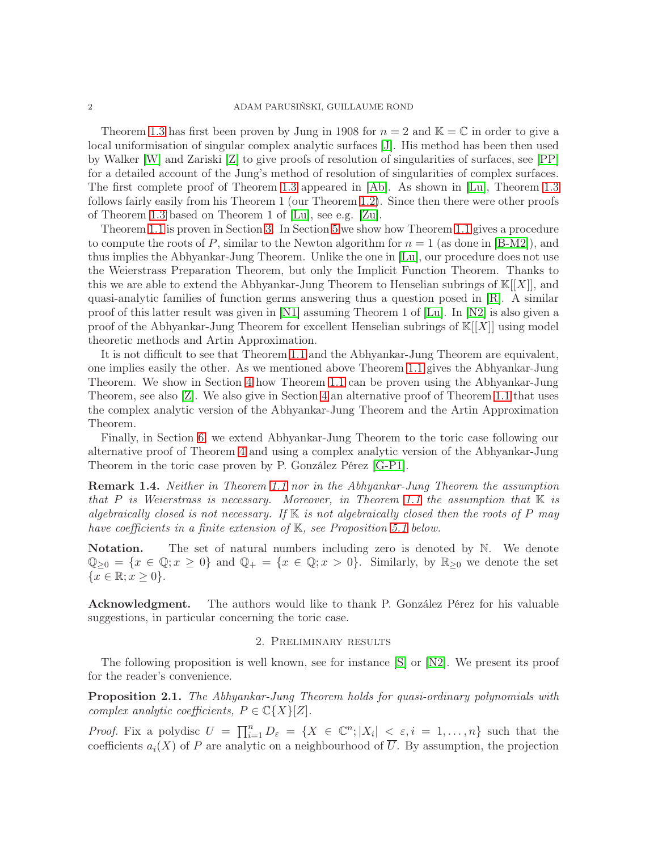Theorem [1.3](#page-0-2) has first been proven by Jung in 1908 for  $n = 2$  and  $\mathbb{K} = \mathbb{C}$  in order to give a local uniformisation of singular complex analytic surfaces [\[J\]](#page-12-3). His method has been then used by Walker [\[W\]](#page-12-4) and Zariski [\[Z\]](#page-12-5) to give proofs of resolution of singularities of surfaces, see [\[PP\]](#page-12-6) for a detailed account of the Jung's method of resolution of singularities of complex surfaces. The first complete proof of Theorem [1.3](#page-0-2) appeared in [\[Ab\]](#page-12-7). As shown in [\[Lu\]](#page-12-1), Theorem [1.3](#page-0-2) follows fairly easily from his Theorem 1 (our Theorem [1.2\)](#page-0-1). Since then there were other proofs of Theorem [1.3](#page-0-2) based on Theorem 1 of [\[Lu\]](#page-12-1), see e.g. [\[Zu\]](#page-12-8).

Theorem [1.1](#page-0-0) is proven in Section [3.](#page-3-0) In Section [5](#page-7-0) we show how Theorem [1.1](#page-0-0) gives a procedure to compute the roots of P, similar to the Newton algorithm for  $n = 1$  (as done in [\[B-M2\]](#page-12-9)), and thus implies the Abhyankar-Jung Theorem. Unlike the one in [\[Lu\]](#page-12-1), our procedure does not use the Weierstrass Preparation Theorem, but only the Implicit Function Theorem. Thanks to this we are able to extend the Abhyankar-Jung Theorem to Henselian subrings of  $\mathbb{K}[[X]]$ , and quasi-analytic families of function germs answering thus a question posed in  $[R]$ . A similar proof of this latter result was given in [\[N1\]](#page-12-11) assuming Theorem 1 of [\[Lu\]](#page-12-1). In [\[N2\]](#page-12-12) is also given a proof of the Abhyankar-Jung Theorem for excellent Henselian subrings of  $K[[X]]$  using model theoretic methods and Artin Approximation.

It is not difficult to see that Theorem [1.1](#page-0-0) and the Abhyankar-Jung Theorem are equivalent, one implies easily the other. As we mentioned above Theorem [1.1](#page-0-0) gives the Abhyankar-Jung Theorem. We show in Section [4](#page-5-0) how Theorem [1.1](#page-0-0) can be proven using the Abhyankar-Jung Theorem, see also [\[Z\]](#page-12-5). We also give in Section [4](#page-5-0) an alternative proof of Theorem [1.1](#page-0-0) that uses the complex analytic version of the Abhyankar-Jung Theorem and the Artin Approximation Theorem.

Finally, in Section [6,](#page-10-0) we extend Abhyankar-Jung Theorem to the toric case following our alternative proof of Theorem [4](#page-5-0) and using a complex analytic version of the Abhyankar-Jung Theorem in the toric case proven by P. González Pérez [\[G-P1\]](#page-12-13).

Remark 1.4. Neither in Theorem [1.1](#page-0-0) nor in the Abhyankar-Jung Theorem the assumption that P is Weierstrass is necessary. Moreover, in Theorem [1.1](#page-0-0) the assumption that  $\mathbb K$  is algebraically closed is not necessary. If  $K$  is not algebraically closed then the roots of P may have coefficients in a finite extension of K, see Proposition [5.1](#page-8-0) below.

**Notation.** The set of natural numbers including zero is denoted by N. We denote  $\mathbb{Q}_{\geq 0} = \{x \in \mathbb{Q}; x \geq 0\}$  and  $\mathbb{Q}_+ = \{x \in \mathbb{Q}; x > 0\}$ . Similarly, by  $\mathbb{R}_{\geq 0}$  we denote the set  ${x \in \mathbb{R}; x \geq 0}.$ 

Acknowledgment. The authors would like to thank P. González Pérez for his valuable suggestions, in particular concerning the toric case.

### 2. Preliminary results

The following proposition is well known, see for instance [\[S\]](#page-12-14) or [\[N2\]](#page-12-12). We present its proof for the reader's convenience.

<span id="page-1-0"></span>Proposition 2.1. The Abhyankar-Jung Theorem holds for quasi-ordinary polynomials with complex analytic coefficients,  $P \in \mathbb{C}\lbrace X \rbrace [Z].$ 

*Proof.* Fix a polydisc  $U = \prod_{i=1}^n D_{\varepsilon} = \{X \in \mathbb{C}^n; |X_i| \leq \varepsilon, i = 1, \ldots, n\}$  such that the coefficients  $a_i(X)$  of P are analytic on a neighbourhood of  $\overline{U}$ . By assumption, the projection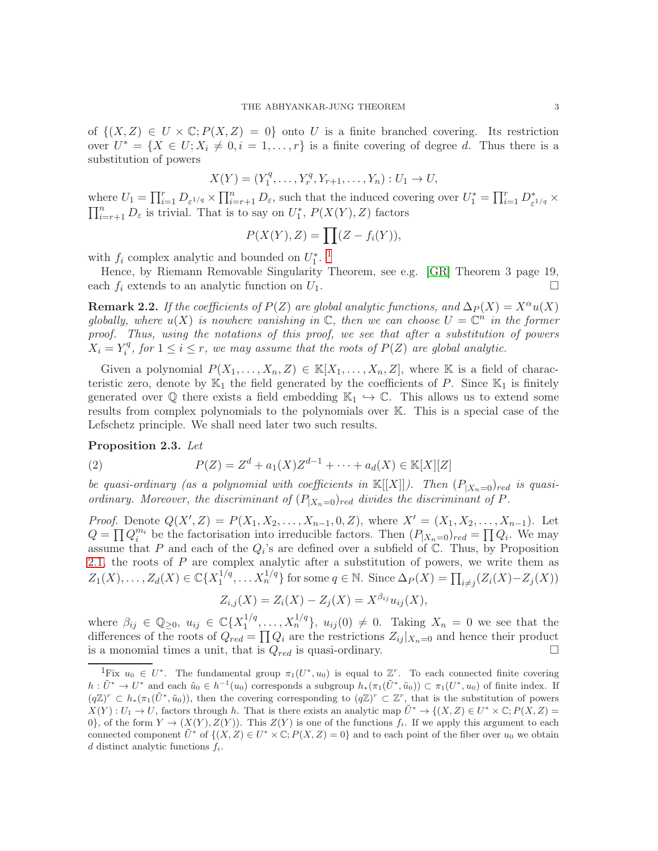of  $\{(X, Z) \in U \times \mathbb{C} : P(X, Z) = 0\}$  onto U is a finite branched covering. Its restriction over  $U^* = \{X \in U; X_i \neq 0, i = 1, \ldots, r\}$  is a finite covering of degree d. Thus there is a substitution of powers

$$
X(Y) = (Y_1^q, \dots, Y_r^q, Y_{r+1}, \dots, Y_n) : U_1 \to U,
$$

where  $U_1 = \prod_{i=1}^r D_{\varepsilon^{1/q}} \times \prod_{i=r+1}^n D_{\varepsilon}$ , such that the induced covering over  $U_1^* = \prod_{i=1}^r D_{\varepsilon^{1/q}}^* \times$  $\prod_{i=r+1}^{n} D_{\varepsilon}$  is trivial. That is to say on  $U_1^*, P(X(Y), Z)$  factors

$$
P(X(Y), Z) = \prod (Z - f_i(Y)),
$$

with  $f_i$  complex analytic and bounded on  $U_1^*$  $U_1^*$  $U_1^*$ .<sup>1</sup>

Hence, by Riemann Removable Singularity Theorem, see e.g. [\[GR\]](#page-12-15) Theorem 3 page 19, each  $f_i$  extends to an analytic function on  $U_1$ .

<span id="page-2-2"></span>**Remark 2.2.** If the coefficients of  $P(Z)$  are global analytic functions, and  $\Delta_P(X) = X^{\alpha}u(X)$ globally, where  $u(X)$  is nowhere vanishing in  $\mathbb{C}$ , then we can choose  $U = \mathbb{C}^n$  in the former proof. Thus, using the notations of this proof, we see that after a substitution of powers  $X_i = Y_i^q$  $i<sup>q</sup>$ , for  $1 \leq i \leq r$ , we may assume that the roots of  $P(Z)$  are global analytic.

Given a polynomial  $P(X_1, \ldots, X_n, Z) \in \mathbb{K}[X_1, \ldots, X_n, Z]$ , where K is a field of characteristic zero, denote by  $\mathbb{K}_1$  the field generated by the coefficients of P. Since  $\mathbb{K}_1$  is finitely generated over  $\mathbb Q$  there exists a field embedding  $\mathbb{K}_1 \hookrightarrow \mathbb{C}$ . This allows us to extend some results from complex polynomials to the polynomials over K. This is a special case of the Lefschetz principle. We shall need later two such results.

### <span id="page-2-3"></span>Proposition 2.3. Let

<span id="page-2-1"></span>(2) 
$$
P(Z) = Z^d + a_1(X)Z^{d-1} + \dots + a_d(X) \in \mathbb{K}[X][Z]
$$

be quasi-ordinary (as a polynomial with coefficients in  $\mathbb{K}[[X]]$ ). Then  $(P_{|X_n=0})_{red}$  is quasiordinary. Moreover, the discriminant of  $(P_{|X_n=0})_{red}$  divides the discriminant of P.

*Proof.* Denote  $Q(X', Z) = P(X_1, X_2, \ldots, X_{n-1}, 0, Z)$ , where  $X' = (X_1, X_2, \ldots, X_{n-1})$ . Let  $Q = \prod Q_i^{m_i}$  be the factorisation into irreducible factors. Then  $(P_{|X_n=0})_{red} = \prod Q_i$ . We may assume that P and each of the  $Q_i$ 's are defined over a subfield of  $\mathbb{C}$ . Thus, by Proposition [2.1,](#page-1-0) the roots of  $P$  are complex analytic after a substitution of powers, we write them as  $Z_1(X), \ldots, Z_d(X) \in \mathbb{C} \{X_1^{1/q}$  $\{1/q, \ldots X_n^{1/q}\}\$ for some  $q \in \mathbb{N}$ . Since  $\Delta_P(X) = \prod_{i \neq j} (Z_i(X) - Z_j(X))$ 

$$
Z_{i,j}(X) = Z_i(X) - Z_j(X) = X^{\beta_{ij}} u_{ij}(X),
$$

where  $\beta_{ij} \in \mathbb{Q}_{\geq 0}$ ,  $u_{ij} \in \mathbb{C}\lbrace X_1^{1/q} \rbrace$  $\{1/q, \ldots, X_n^{1/q}\}, u_{ij}(0) \neq 0$ . Taking  $X_n = 0$  we see that the differences of the roots of  $Q_{red} = \prod Q_i$  are the restrictions  $Z_{ij}|_{X_n=0}$  and hence their product is a monomial times a unit, that is  $Q_{red}$  is quasi-ordinary.

<span id="page-2-0"></span><sup>&</sup>lt;sup>1</sup>Fix  $u_0 \in U^*$ . The fundamental group  $\pi_1(U^*, u_0)$  is equal to  $\mathbb{Z}^r$ . To each connected finite covering  $h: \tilde{U}^* \to U^*$  and each  $\tilde{u}_0 \in h^{-1}(u_0)$  corresponds a subgroup  $h_*(\pi_1(\tilde{U}^*, \tilde{u}_0)) \subset \pi_1(U^*, u_0)$  of finite index. If  $(q\mathbb{Z})^r \subset h_*(\pi_1(\tilde{U}^*, \tilde{u}_0)),$  then the covering corresponding to  $(q\mathbb{Z})^r \subset \mathbb{Z}^r$ , that is the substitution of powers  $X(Y): U_1 \to U$ , factors through h. That is there exists an analytic map  $\tilde{U}^* \to \{(X, Z) \in U^* \times \mathbb{C}; P(X, Z) =$ 0}, of the form  $Y \to (X(Y), Z(Y))$ . This  $Z(Y)$  is one of the functions  $f_i$ . If we apply this argument to each connected component  $\tilde{U}^*$  of  $\{(X, Z) \in U^* \times \mathbb{C}; P(X, Z) = 0\}$  and to each point of the fiber over  $u_0$  we obtain  $d$  distinct analytic functions  $f_i$ .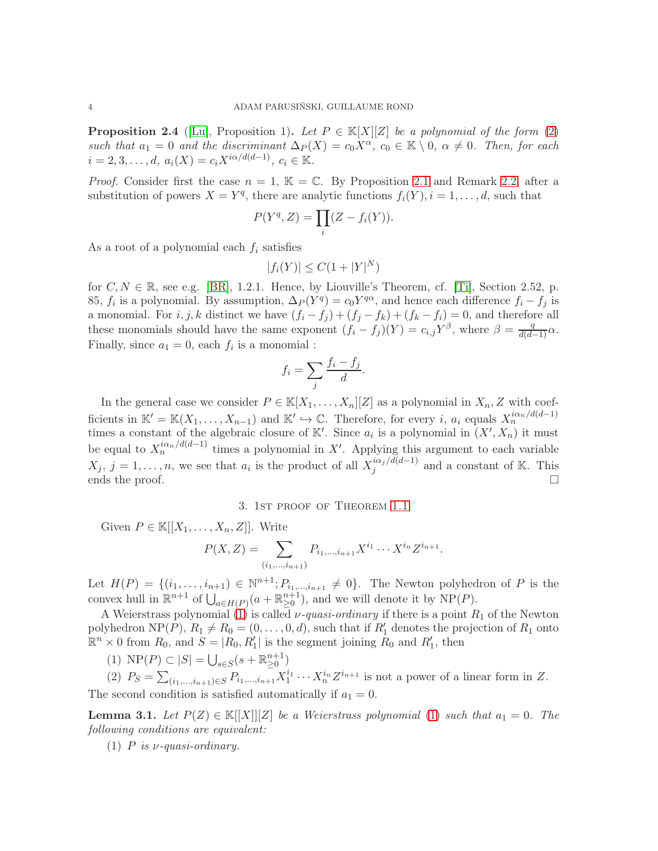<span id="page-3-2"></span>**Proposition 2.4** ([\[Lu\]](#page-12-1), Proposition 1). Let  $P \in \mathbb{K}[X][Z]$  be a polynomial of the form [\(2\)](#page-2-1) such that  $a_1 = 0$  and the discriminant  $\Delta_P(X) = c_0 X^\alpha$ ,  $c_0 \in \mathbb{K} \setminus \{0, \alpha \neq 0\}$ . Then, for each  $i = 2, 3, \dots, d, \ a_i(X) = c_i X^{i\alpha/d(d-1)}, \ c_i \in \mathbb{K}.$ 

*Proof.* Consider first the case  $n = 1$ ,  $\mathbb{K} = \mathbb{C}$ . By Proposition [2.1](#page-1-0) and Remark [2.2,](#page-2-2) after a substitution of powers  $X = Y^q$ , there are analytic functions  $f_i(Y)$ ,  $i = 1, \ldots, d$ , such that

$$
P(Y^q, Z) = \prod_i (Z - f_i(Y)).
$$

As a root of a polynomial each  $f_i$  satisfies

$$
|f_i(Y)| \le C(1+|Y|^N)
$$

for  $C, N \in \mathbb{R}$ , see e.g. [\[BR\]](#page-12-16), 1.2.1. Hence, by Liouville's Theorem, cf. [\[Ti\]](#page-12-17), Section 2.52, p. 85,  $f_i$  is a polynomial. By assumption,  $\Delta_P(Y^q) = c_0 Y^{q\alpha}$ , and hence each difference  $f_i - f_j$  is a monomial. For  $i, j, k$  distinct we have  $(f_i - f_j) + (f_j - f_k) + (f_k - f_i) = 0$ , and therefore all these monomials should have the same exponent  $(f_i - f_j)(Y) = c_{i,j} Y^{\beta}$ , where  $\beta = \frac{q}{d(d-1)} \alpha$ . Finally, since  $a_1 = 0$ , each  $f_i$  is a monomial :

$$
f_i = \sum_j \frac{f_i - f_j}{d}.
$$

In the general case we consider  $P \in \mathbb{K}[X_1,\ldots,X_n][Z]$  as a polynomial in  $X_n, Z$  with coefficients in  $\mathbb{K}' = \mathbb{K}(X_1, \ldots, X_{n-1})$  and  $\mathbb{K}' \hookrightarrow \mathbb{C}$ . Therefore, for every *i*,  $a_i$  equals  $X_n^{i\alpha_n/d(d-1)}$  times a constant of the algebraic closure of  $\mathbb{K}'$ . Since  $a_i$  is a polynomial in  $(X', X_n)$  it must be equal to  $X_n^{i\alpha_n/d(d-1)}$  times a polynomial in X'. Applying this argument to each variable  $X_j, j=1,\ldots,n$ , we see that  $a_i$  is the product of all  $X_j^{i\alpha_j/d(d-1)}$  $\sum_{j=1}^{i\alpha_j/a(a-1)}$  and a constant of K. This ends the proof.  $\Box$ 

3. 1st proof of Theorem [1.1](#page-0-0)

<span id="page-3-0"></span>Given  $P \in \mathbb{K}[[X_1,\ldots,X_n,Z]]$ . Write

$$
P(X, Z) = \sum_{(i_1, \ldots, i_{n+1})} P_{i_1, \ldots, i_{n+1}} X^{i_1} \cdots X^{i_n} Z^{i_{n+1}}.
$$

Let  $H(P) = \{(i_1, \ldots, i_{n+1}) \in \mathbb{N}^{n+1}; P_{i_1, \ldots, i_{n+1}} \neq 0\}$ . The Newton polyhedron of P is the convex hull in  $\mathbb{R}^{n+1}$  of  $\bigcup_{a \in H(P)} (a + \mathbb{R}_{\geq 0}^{n+1})$ , and we will denote it by NP(P).

A Weierstrass polynomial [\(1\)](#page-0-3) is called  $\nu$ -quasi-ordinary if there is a point  $R_1$  of the Newton polyhedron NP(P),  $R_1 \neq R_0 = (0, \ldots, 0, d)$ , such that if  $R'_1$  denotes the projection of  $R_1$  onto  $\mathbb{R}^n \times 0$  from  $R_0$ , and  $S = |R_0, R'_1|$  is the segment joining  $R_0$  and  $R'_1$ , then

(1)  $\text{NP}(P) \subset |S| = \bigcup_{s \in S} (s + \mathbb{R}_{\geq 0}^{n+1})$ 

(2)  $P_S = \sum_{(i_1,\dots,i_{n+1})\in S} P_{i_1,\dots,i_{n+1}} X_1^{i_1} \cdots X_n^{i_n} Z^{i_{n+1}}$  is not a power of a linear form in Z. The second condition is satisfied automatically if  $a_1 = 0$ .

<span id="page-3-1"></span>**Lemma 3.1.** Let  $P(Z) \in K[[X]][Z]$  be a Weierstrass polynomial [\(1\)](#page-0-3) such that  $a_1 = 0$ . The following conditions are equivalent:

(1) P is  $\nu$ -quasi-ordinary.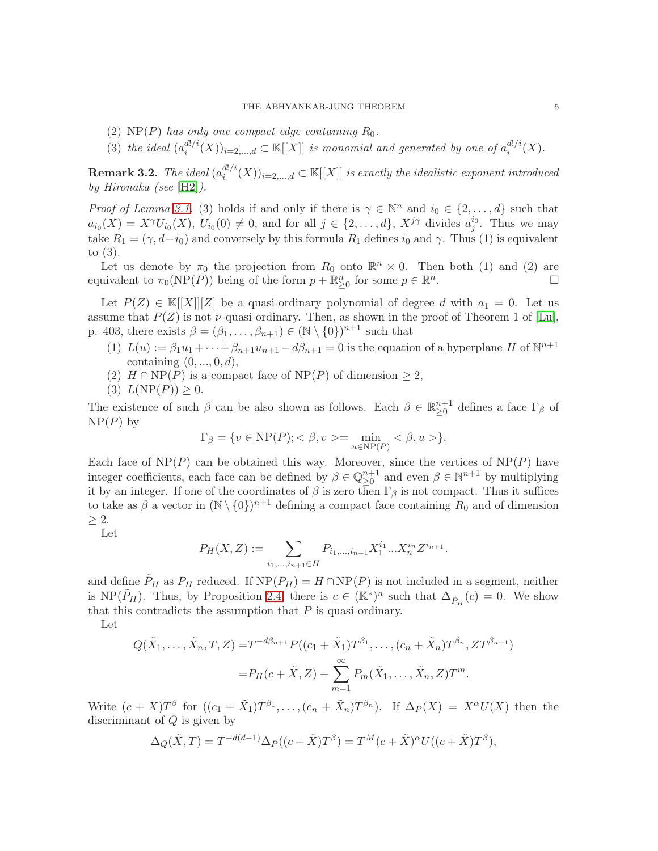- (2)  $NP(P)$  has only one compact edge containing  $R_0$ .
- (3) the ideal  $(a_i^{d!/i})$  $\binom{d!/i}{i}(X)_{i=2,\ldots,d} \subset \mathbb{K}[[X]]$  is monomial and generated by one of  $a_i^{d!/i}$  $i^{u//i}(X).$

 $\rm{Remark}$  3.2. The ideal  $(a_i^{d!/i})$  $\mathbb{E}^{a|n}(X))_{i=2,\ldots,d} \subset \mathbb{K}[[X]]$  is exactly the idealistic exponent introduced by Hironaka (see [\[H2\]](#page-12-18)).

*Proof of Lemma [3.1.](#page-3-1)* (3) holds if and only if there is  $\gamma \in \mathbb{N}^n$  and  $i_0 \in \{2, ..., d\}$  such that  $a_{i_0}(X) = X^{\gamma}U_{i_0}(X), U_{i_0}(0) \neq 0$ , and for all  $j \in \{2,\ldots,d\}$ ,  $X^{j\gamma}$  divides  $a_j^{i_0}$ . Thus we may take  $R_1 = (\gamma, d-i_0)$  and conversely by this formula  $R_1$  defines  $i_0$  and  $\gamma$ . Thus (1) is equivalent to (3).

Let us denote by  $\pi_0$  the projection from  $R_0$  onto  $\mathbb{R}^n \times 0$ . Then both (1) and (2) are univalent to  $\pi_0(NP(P))$  being of the form  $p \in \mathbb{R}^n$ . equivalent to  $\pi_0(NP(P))$  being of the form  $p + \mathbb{R}^n_{\geq 0}$  for some  $p \in \mathbb{R}^n$ .

Let  $P(Z) \in K[[X]][Z]$  be a quasi-ordinary polynomial of degree d with  $a_1 = 0$ . Let us assume that  $P(Z)$  is not *v*-quasi-ordinary. Then, as shown in the proof of Theorem 1 of [\[Lu\]](#page-12-1), p. 403, there exists  $\beta = (\beta_1, \ldots, \beta_{n+1}) \in (\mathbb{N} \setminus \{0\})^{n+1}$  such that

- (1)  $L(u) := \beta_1 u_1 + \cdots + \beta_{n+1} u_{n+1} d\beta_{n+1} = 0$  is the equation of a hyperplane H of  $\mathbb{N}^{n+1}$ containing  $(0, ..., 0, d)$ ,
- (2)  $H \cap NP(P)$  is a compact face of  $NP(P)$  of dimension  $\geq 2$ ,
- (3)  $L(NP(P)) \geq 0$ .

The existence of such  $\beta$  can be also shown as follows. Each  $\beta \in \mathbb{R}^{n+1}_{\geq 0}$  defines a face  $\Gamma_{\beta}$  of  $NP(P)$  by

$$
\Gamma_{\beta} = \{v \in \text{NP}(P); <\beta, v>=\min_{u \in \text{NP}(P)} <\beta, u>\}.
$$

Each face of  $NP(P)$  can be obtained this way. Moreover, since the vertices of  $NP(P)$  have integer coefficients, each face can be defined by  $\beta \in \mathbb{Q}_{\geq 0}^{n+1}$  and even  $\beta \in \mathbb{N}^{n+1}$  by multiplying it by an integer. If one of the coordinates of  $\beta$  is zero then  $\Gamma_{\beta}$  is not compact. Thus it suffices to take as  $\beta$  a vector in  $(\mathbb{N} \setminus \{0\})^{n+1}$  defining a compact face containing  $R_0$  and of dimension  $\geq 2$ .

Let

$$
P_H(X, Z) := \sum_{i_1, \dots, i_{n+1} \in H} P_{i_1, \dots, i_{n+1}} X_1^{i_1} \dots X_n^{i_n} Z^{i_{n+1}}.
$$

and define  $P_H$  as  $P_H$  reduced. If  $NP(P_H) = H \cap NP(P)$  is not included in a segment, neither is NP( $\tilde{P}_H$ ). Thus, by Proposition [2.4,](#page-3-2) there is  $c \in (\mathbb{K}^*)^n$  such that  $\Delta_{\tilde{P}_H}(c) = 0$ . We show that this contradicts the assumption that  $P$  is quasi-ordinary.

Let

$$
Q(\tilde{X}_1, ..., \tilde{X}_n, T, Z) = T^{-d\beta_{n+1}} P((c_1 + \tilde{X}_1) T^{\beta_1}, ..., (c_n + \tilde{X}_n) T^{\beta_n}, Z T^{\beta_{n+1}})
$$
  
=  $P_H(c + \tilde{X}, Z) + \sum_{m=1}^{\infty} P_m(\tilde{X}_1, ..., \tilde{X}_n, Z) T^m.$ 

Write  $(c+X)T^{\beta}$  for  $((c_1+\tilde{X}_1)T^{\beta_1},\ldots,(c_n+\tilde{X}_n)T^{\beta_n}).$  If  $\Delta_P(X) = X^{\alpha}U(X)$  then the discriminant of  $Q$  is given by

$$
\Delta_Q(\tilde{X},T) = T^{-d(d-1)} \Delta_P((c+\tilde{X})T^{\beta}) = T^M(c+\tilde{X})^{\alpha} U((c+\tilde{X})T^{\beta}),
$$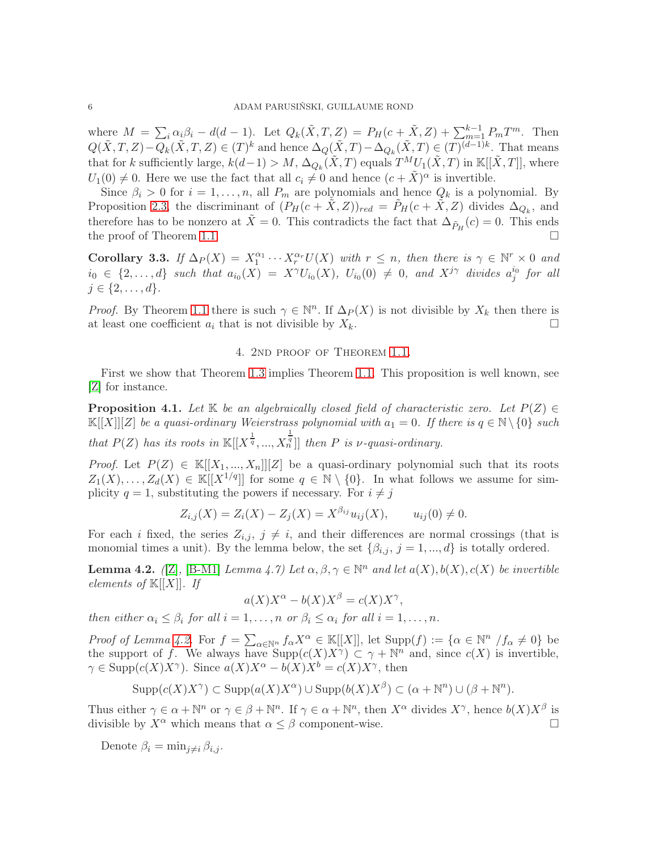where  $M = \sum_i \alpha_i \beta_i - d(d-1)$ . Let  $Q_k(\tilde{X}, T, Z) = P_H(c + \tilde{X}, Z) + \sum_{m=1}^{k-1} P_m T^m$ . Then  $Q(\tilde{X},T,Z)-Q_k(\tilde{X},T,Z)\in(T)^k$  and hence  $\Delta_Q(\tilde{X},T)-\Delta_{Q_k}(\tilde{X},T)\in(T)^{(d-1)k}$ . That means that for k sufficiently large,  $k(d-1) > M$ ,  $\Delta_{Q_k}(\tilde{X}, T)$  equals  $T^M U_1(\tilde{X}, T)$  in  $\mathbb{K}[[\tilde{X}, T]]$ , where  $U_1(0) \neq 0$ . Here we use the fact that all  $c_i \neq 0$  and hence  $(c + \tilde{X})^{\alpha}$  is invertible.

Since  $\beta_i > 0$  for  $i = 1, ..., n$ , all  $P_m$  are polynomials and hence  $Q_k$  is a polynomial. By Proposition [2.3,](#page-2-3) the discriminant of  $(P_H(c+\tilde{X},Z))_{red} = \tilde{P}_H(c+\tilde{X},Z)$  divides  $\Delta_{Q_k}$ , and therefore has to be nonzero at  $\tilde{X} = 0$ . This contradicts the fact that  $\Delta_{\tilde{P}_H}(c) = 0$ . This ends the proof of Theorem [1.1.](#page-0-0)

<span id="page-5-3"></span>Corollary 3.3. If  $\Delta_P(X) = X_1^{\alpha_1} \cdots X_r^{\alpha_r} U(X)$  with  $r \leq n$ , then there is  $\gamma \in \mathbb{N}^r \times 0$  and  $i_0 \in \{2,\ldots,d\}$  such that  $a_{i_0}(X) = X^{\gamma}U_{i_0}(X)$ ,  $U_{i_0}(0) \neq 0$ , and  $X^{j\gamma}$  divides  $a_j^{i_0}$  for all  $j \in \{2, \ldots, d\}.$ 

<span id="page-5-0"></span>*Proof.* By Theorem [1.1](#page-0-0) there is such  $\gamma \in \mathbb{N}^n$ . If  $\Delta_P(X)$  is not divisible by  $X_k$  then there is at least one coefficient  $a_i$  that is not divisible by  $X_k$ .

# 4. 2nd proof of Theorem [1.1.](#page-0-0)

First we show that Theorem [1.3](#page-0-2) implies Theorem [1.1.](#page-0-0) This proposition is well known, see [\[Z\]](#page-12-5) for instance.

<span id="page-5-2"></span>**Proposition 4.1.** Let K be an algebraically closed field of characteristic zero. Let  $P(Z) \in$  $\mathbb{K}[[X]][Z]$  be a quasi-ordinary Weierstrass polynomial with  $a_1 = 0$ . If there is  $q \in \mathbb{N} \setminus \{0\}$  such that  $P(Z)$  has its roots in  $\mathbb{K}[[X^{\frac{1}{q}},...,X$  $\frac{1}{n}$ ] then P is *v*-quasi-ordinary.

*Proof.* Let  $P(Z) \in K[[X_1, ..., X_n]][Z]$  be a quasi-ordinary polynomial such that its roots  $Z_1(X), \ldots, Z_d(X) \in \mathbb{K}[[X^{1/q}]]$  for some  $q \in \mathbb{N} \setminus \{0\}$ . In what follows we assume for simplicity  $q = 1$ , substituting the powers if necessary. For  $i \neq j$ 

$$
Z_{i,j}(X) = Z_i(X) - Z_j(X) = X^{\beta_{ij}} u_{ij}(X), \qquad u_{ij}(0) \neq 0.
$$

For each i fixed, the series  $Z_{i,j}$ ,  $j \neq i$ , and their differences are normal crossings (that is monomial times a unit). By the lemma below, the set  $\{\beta_{i,j}, j = 1, ..., d\}$  is totally ordered.

<span id="page-5-1"></span>**Lemma 4.2.** ([\[Z\]](#page-12-5), [\[B-M1\]](#page-12-19) Lemma 4.7) Let  $\alpha, \beta, \gamma \in \mathbb{N}^n$  and let  $a(X), b(X), c(X)$  be invertible elements of  $\mathbb{K}[[X]]$ . If

$$
a(X)X^{\alpha} - b(X)X^{\beta} = c(X)X^{\gamma},
$$

then either  $\alpha_i \leq \beta_i$  for all  $i = 1, \ldots, n$  or  $\beta_i \leq \alpha_i$  for all  $i = 1, \ldots, n$ .

*Proof of Lemma [4.2.](#page-5-1)* For  $f = \sum_{\alpha \in \mathbb{N}^n} f_{\alpha} X^{\alpha} \in \mathbb{K}[[X]],$  let  $\text{Supp}(f) := {\alpha \in \mathbb{N}^n} / f_{\alpha} \neq 0}$  be the support of f. We always have  $\text{Supp}(c(X)X^{\gamma}) \subset \gamma + \mathbb{N}^n$  and, since  $c(X)$  is invertible,  $\gamma \in \text{Supp}(c(X)X^{\gamma})$ . Since  $a(X)X^{\alpha} - b(X)X^{\beta} = c(X)X^{\gamma}$ , then

$$
Supp(c(X)X^{\gamma}) \subset Supp(a(X)X^{\alpha}) \cup Supp(b(X)X^{\beta}) \subset (\alpha + \mathbb{N}^n) \cup (\beta + \mathbb{N}^n).
$$

Thus either  $\gamma \in \alpha + \mathbb{N}^n$  or  $\gamma \in \beta + \mathbb{N}^n$ . If  $\gamma \in \alpha + \mathbb{N}^n$ , then  $X^{\alpha}$  divides  $X^{\gamma}$ , hence  $b(X)X^{\beta}$  is divisible by  $X^{\alpha}$  which means that  $\alpha \leq \beta$  component-wise.

Denote  $\beta_i = \min_{i \neq i} \beta_{i,i}$ .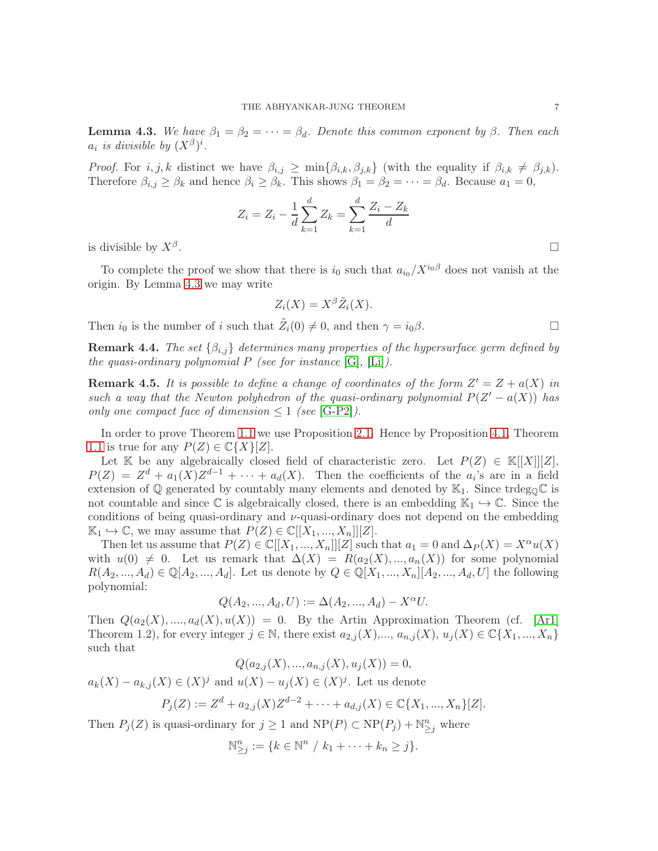<span id="page-6-0"></span>**Lemma 4.3.** We have  $\beta_1 = \beta_2 = \cdots = \beta_d$ . Denote this common exponent by  $\beta$ . Then each  $a_i$  is divisible by  $(X^{\beta})^i$ .

*Proof.* For  $i, j, k$  distinct we have  $\beta_{i,j} \ge \min\{\beta_{i,k}, \beta_{j,k}\}\$  (with the equality if  $\beta_{i,k} \ne \beta_{j,k}$ ). Therefore  $\beta_{i,j} \geq \beta_k$  and hence  $\beta_i \geq \beta_k$ . This shows  $\beta_1 = \beta_2 = \cdots = \beta_d$ . Because  $a_1 = 0$ ,

$$
Z_i = Z_i - \frac{1}{d} \sum_{k=1}^{d} Z_k = \sum_{k=1}^{d} \frac{Z_i - Z_k}{d}
$$

is divisible by  $X^{\beta}$ .

To complete the proof we show that there is  $i_0$  such that  $a_{i_0}/X^{i_0\beta}$  does not vanish at the origin. By Lemma [4.3](#page-6-0) we may write

$$
Z_i(X) = X^{\beta} \tilde{Z}_i(X).
$$

Then  $i_0$  is the number of i such that  $\tilde{Z}_i(0) \neq 0$ , and then  $\gamma = i_0 \beta$ .

**Remark 4.4.** The set  $\{\beta_{i,j}\}\$  determines many properties of the hypersurface germ defined by the quasi-ordinary polynomial  $P$  (see for instance [\[G\]](#page-12-20), [\[Li\]](#page-12-21)).

**Remark 4.5.** It is possible to define a change of coordinates of the form  $Z' = Z + a(X)$  in such a way that the Newton polyhedron of the quasi-ordinary polynomial  $P(Z'-a(X))$  has only one compact face of dimension  $\leq 1$  (see [\[G-P2\]](#page-12-22)).

In order to prove Theorem [1.1](#page-0-0) we use Proposition [2.1.](#page-1-0) Hence by Proposition [4.1,](#page-5-2) Theorem [1.1](#page-0-0) is true for any  $P(Z) \in \mathbb{C}\lbrace X \rbrace [Z].$ 

Let K be any algebraically closed field of characteristic zero. Let  $P(Z) \in K[[X]][Z]$ ,  $P(Z) = Z<sup>d</sup> + a_1(X)Z<sup>d-1</sup> + \cdots + a_d(X)$ . Then the coefficients of the  $a_i$ 's are in a field extension of  $\mathbb Q$  generated by countably many elements and denoted by  $\mathbb K_1$ . Since trdeg<sub>0</sub> $\mathbb C$  is not countable and since  $\mathbb C$  is algebraically closed, there is an embedding  $\mathbb K_1 \hookrightarrow \mathbb C$ . Since the conditions of being quasi-ordinary and  $\nu$ -quasi-ordinary does not depend on the embedding  $\mathbb{K}_1 \hookrightarrow \mathbb{C}$ , we may assume that  $P(Z) \in \mathbb{C}[[X_1, ..., X_n]][Z].$ 

Then let us assume that  $P(Z) \in \mathbb{C}[[X_1, ..., X_n]][Z]$  such that  $a_1 = 0$  and  $\Delta_P(X) = X^{\alpha}u(X)$ with  $u(0) \neq 0$ . Let us remark that  $\Delta(X) = R(a_2(X), ..., a_n(X))$  for some polynomial  $R(A_2, ..., A_d) \in \mathbb{Q}[A_2, ..., A_d]$ . Let us denote by  $Q \in \mathbb{Q}[X_1, ..., X_n][A_2, ..., A_d, U]$  the following polynomial:

$$
Q(A_2, ..., A_d, U) := \Delta(A_2, ..., A_d) - X^{\alpha}U.
$$

Then  $Q(a_2(X),..., a_d(X), u(X)) = 0$ . By the Artin Approximation Theorem (cf. [\[Ar1\]](#page-12-23) Theorem 1.2), for every integer  $j \in \mathbb{N}$ , there exist  $a_{2,j}(X),..., a_{n,j}(X), u_j(X) \in \mathbb{C} \{X_1,..., X_n\}$ such that

$$
Q(a_{2,j}(X),...,a_{n,j}(X),u_j(X)) = 0,
$$

 $a_k(X) - a_{k,j}(X) \in (X)^j$  and  $u(X) - u_j(X) \in (X)^j$ . Let us denote

$$
P_j(Z) := Z^d + a_{2,j}(X)Z^{d-2} + \cdots + a_{d,j}(X) \in \mathbb{C}\{X_1, ..., X_n\}[Z].
$$

Then  $P_j(Z)$  is quasi-ordinary for  $j \geq 1$  and  $NP(P) \subset NP(P_j) + \mathbb{N}_{\geq j}^n$  where

$$
\mathbb{N}_{\geq j}^n := \{ k \in \mathbb{N}^n / k_1 + \cdots + k_n \geq j \}.
$$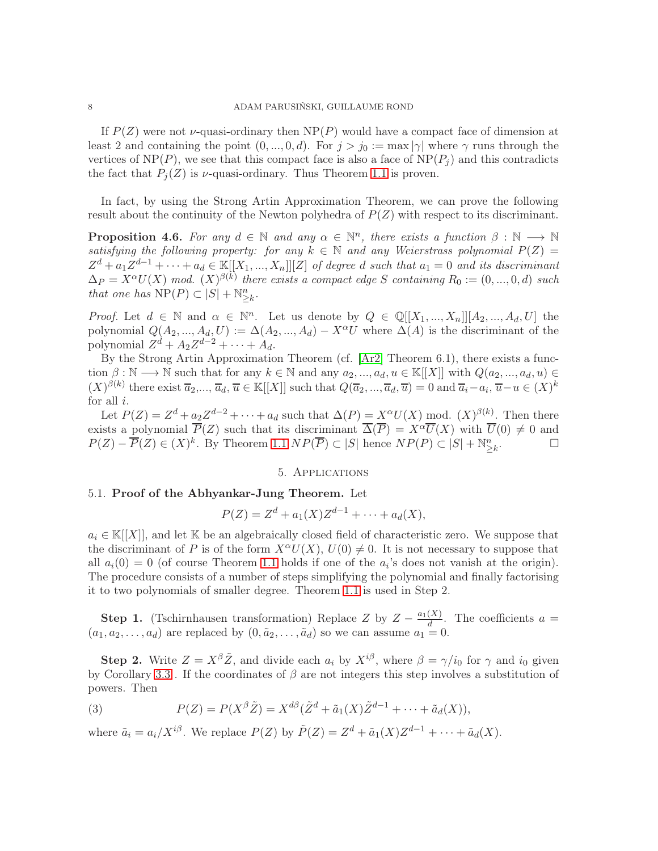If  $P(Z)$  were not  $\nu$ -quasi-ordinary then NP(P) would have a compact face of dimension at least 2 and containing the point  $(0, ..., 0, d)$ . For  $j > j_0 := \max |\gamma|$  where  $\gamma$  runs through the vertices of  $NP(P)$ , we see that this compact face is also a face of  $NP(P_i)$  and this contradicts the fact that  $P_i(Z)$  is  $\nu$ -quasi-ordinary. Thus Theorem [1.1](#page-0-0) is proven.

In fact, by using the Strong Artin Approximation Theorem, we can prove the following result about the continuity of the Newton polyhedra of  $P(Z)$  with respect to its discriminant.

**Proposition 4.6.** For any  $d \in \mathbb{N}$  and any  $\alpha \in \mathbb{N}^n$ , there exists a function  $\beta : \mathbb{N} \longrightarrow \mathbb{N}$ satisfying the following property: for any  $k \in \mathbb{N}$  and any Weierstrass polynomial  $P(Z) =$  $Z^d + a_1 Z^{d-1} + \cdots + a_d \in \mathbb{K}[[X_1, ..., X_n]][Z]$  of degree d such that  $a_1 = 0$  and its discriminant  $\Delta_P = X^{\alpha} U(X) \mod X^{(\beta(k))}$  there exists a compact edge S containing  $R_0 := (0, ..., 0, d)$  such that one has  $\text{NP}(P) \subset |S| + \mathbb{N}_{\geq k}^n$ .

*Proof.* Let  $d \in \mathbb{N}$  and  $\alpha \in \mathbb{N}^n$ . Let us denote by  $Q \in \mathbb{Q}[[X_1, ..., X_n]][A_2, ..., A_d, U]$  the polynomial  $Q(A_2, ..., A_d, U) := \Delta(A_2, ..., A_d) - X^{\alpha}U$  where  $\Delta(A)$  is the discriminant of the polynomial  $Z^d + A_2 Z^{d-2} + \cdots + A_d$ .

By the Strong Artin Approximation Theorem (cf. [\[Ar2\]](#page-12-24) Theorem 6.1), there exists a function  $\beta : \mathbb{N} \longrightarrow \mathbb{N}$  such that for any  $k \in \mathbb{N}$  and any  $a_2, ..., a_d, u \in \mathbb{K}[[X]]$  with  $Q(a_2, ..., a_d, u) \in$  $(X)^{\beta(k)}$  there exist  $\overline{a}_2,...,\overline{a}_d$ ,  $\overline{u} \in \mathbb{K}[[X]]$  such that  $Q(\overline{a}_2,...,\overline{a}_d,\overline{u}) = 0$  and  $\overline{a}_i - a_i$ ,  $\overline{u} - u \in (X)^k$ for all  $i$ .

Let  $P(Z) = Z^d + a_2 Z^{d-2} + \cdots + a_d$  such that  $\Delta(P) = X^{\alpha} U(X)$  mod.  $(X)^{\beta(k)}$ . Then there exists a polynomial  $\overline{P}(Z)$  such that its discriminant  $\overline{\Delta}(\overline{P}) = X^{\alpha} \overline{U}(X)$  with  $\overline{U}(0) \neq 0$  and  $P(Z) - \overline{P}(Z) \in (X)^k$ . By Theorem [1.1](#page-0-0)  $NP(\overline{P}) \subset |S|$  hence  $NP(P) \subset |S| + \mathbb{N}_{\geq k}^n$ .<br>.<br>.

# 5. Applications

### <span id="page-7-1"></span><span id="page-7-0"></span>5.1. Proof of the Abhyankar-Jung Theorem. Let

$$
P(Z) = Z^{d} + a_{1}(X)Z^{d-1} + \cdots + a_{d}(X),
$$

 $a_i \in \mathbb{K}[[X]]$ , and let K be an algebraically closed field of characteristic zero. We suppose that the discriminant of P is of the form  $X^{\alpha}U(X)$ ,  $U(0) \neq 0$ . It is not necessary to suppose that all  $a_i(0) = 0$  (of course Theorem [1.1](#page-0-0) holds if one of the  $a_i$ 's does not vanish at the origin). The procedure consists of a number of steps simplifying the polynomial and finally factorising it to two polynomials of smaller degree. Theorem [1.1](#page-0-0) is used in Step 2.

**Step 1.** (Tschirnhausen transformation) Replace Z by  $Z - \frac{a_1(X)}{d}$  $\frac{(\Delta)}{d}$ . The coefficients  $a =$  $(a_1, a_2, \ldots, a_d)$  are replaced by  $(0, \tilde{a}_2, \ldots, \tilde{a}_d)$  so we can assume  $a_1 = 0$ .

**Step 2.** Write  $Z = X^{\beta} \tilde{Z}$ , and divide each  $a_i$  by  $X^{i\beta}$ , where  $\beta = \gamma/i_0$  for  $\gamma$  and  $i_0$  given by Corollary [3.3](#page-5-3). If the coordinates of  $\beta$  are not integers this step involves a substitution of powers. Then

(3) 
$$
P(Z) = P(X^{\beta} \tilde{Z}) = X^{d\beta} (\tilde{Z}^d + \tilde{a}_1(X) \tilde{Z}^{d-1} + \cdots + \tilde{a}_d(X)),
$$

where  $\tilde{a}_i = a_i/X^{i\beta}$ . We replace  $P(Z)$  by  $\tilde{P}(Z) = Z^d + \tilde{a}_1(X)Z^{d-1} + \cdots + \tilde{a}_d(X)$ .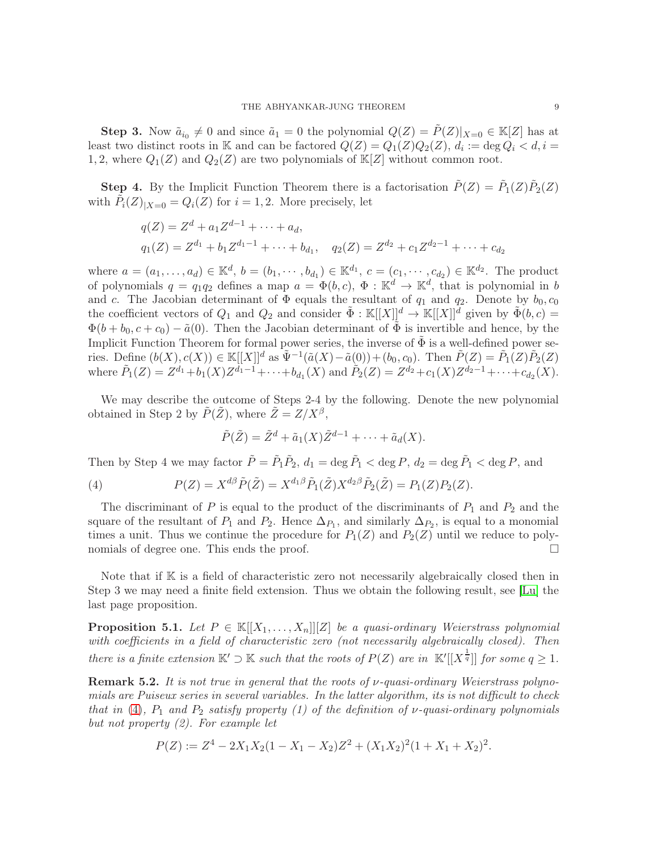**Step 3.** Now  $\tilde{a}_{i_0} \neq 0$  and since  $\tilde{a}_1 = 0$  the polynomial  $Q(Z) = \tilde{P}(Z)|_{X=0} \in \mathbb{K}[Z]$  has at least two distinct roots in K and can be factored  $Q(Z) = Q_1(Z)Q_2(Z)$ ,  $d_i := \deg Q_i < d, i =$ 1, 2, where  $Q_1(Z)$  and  $Q_2(Z)$  are two polynomials of  $\mathbb{K}[Z]$  without common root.

**Step 4.** By the Implicit Function Theorem there is a factorisation  $\tilde{P}(Z) = \tilde{P}_1(Z)\tilde{P}_2(Z)$ with  $\tilde{P}_i(Z)_{|X=0} = Q_i(Z)$  for  $i = 1, 2$ . More precisely, let

$$
q(Z) = Zd + a1Zd-1 + \dots + ad,q1(Z) = Zd1 + b1Zd1-1 + \dots + bd1, q2(Z) = Zd2 + c1Zd2-1 + \dots + cd2
$$

where  $a = (a_1, ..., a_d) \in \mathbb{K}^d$ ,  $b = (b_1, ..., b_{d_1}) \in \mathbb{K}^{d_1}$ ,  $c = (c_1, ..., c_{d_2}) \in \mathbb{K}^{d_2}$ . The product of polynomials  $q = q_1 q_2$  defines a map  $a = \Phi(b, c)$ ,  $\Phi : \mathbb{K}^d \to \mathbb{K}^d$ , that is polynomial in b and c. The Jacobian determinant of  $\Phi$  equals the resultant of  $q_1$  and  $q_2$ . Denote by  $b_0, c_0$ the coefficient vectors of  $Q_1$  and  $Q_2$  and consider  $\tilde{\Phi}: \mathbb{K}[[X]]^d \to \mathbb{K}[[X]]^d$  given by  $\tilde{\Phi}(b,c)$  $\Phi(b + b_0, c + c_0) - \tilde{a}(0)$ . Then the Jacobian determinant of  $\Phi$  is invertible and hence, by the Implicit Function Theorem for formal power series, the inverse of  $\tilde{\Phi}$  is a well-defined power series. Define  $(b(X), c(X)) \in \mathbb{K}[[X]]^d$  as  $\tilde{\Psi}^{-1}(\tilde{a}(X) - \tilde{a}(0)) + (b_0, c_0)$ . Then  $\tilde{P}(Z) = \tilde{P}_1(Z)\tilde{P}_2(Z)$ where  $\tilde{P}_1(Z) = Z^{d_1} + b_1(X)Z^{d_1-1} + \cdots + b_{d_1}(X)$  and  $\tilde{P}_2(Z) = Z^{d_2} + c_1(X)Z^{d_2-1} + \cdots + c_{d_2}(X)$ .

We may describe the outcome of Steps 2-4 by the following. Denote the new polynomial obtained in Step 2 by  $\tilde{P}(\tilde{Z})$ , where  $\tilde{Z} = Z/X^{\beta}$ ,

$$
\tilde{P}(\tilde{Z}) = \tilde{Z}^d + \tilde{a}_1(X)\tilde{Z}^{d-1} + \cdots + \tilde{a}_d(X).
$$

Then by Step 4 we may factor  $\tilde{P} = \tilde{P}_1 \tilde{P}_2$ ,  $d_1 = \deg \tilde{P}_1 < \deg P$ ,  $d_2 = \deg \tilde{P}_1 < \deg P$ , and

<span id="page-8-1"></span>(4) 
$$
P(Z) = X^{d\beta} \tilde{P}(\tilde{Z}) = X^{d_1 \beta} \tilde{P}_1(\tilde{Z}) X^{d_2 \beta} \tilde{P}_2(\tilde{Z}) = P_1(Z) P_2(Z).
$$

The discriminant of  $P$  is equal to the product of the discriminants of  $P_1$  and  $P_2$  and the square of the resultant of  $P_1$  and  $P_2$ . Hence  $\Delta_{P_1}$ , and similarly  $\Delta_{P_2}$ , is equal to a monomial times a unit. Thus we continue the procedure for  $P_1(Z)$  and  $P_2(Z)$  until we reduce to polynomials of degree one. This ends the proof.

Note that if  $K$  is a field of characteristic zero not necessarily algebraically closed then in Step 3 we may need a finite field extension. Thus we obtain the following result, see [\[Lu\]](#page-12-1) the last page proposition.

<span id="page-8-0"></span>**Proposition 5.1.** Let  $P \in \mathbb{K}[[X_1,\ldots,X_n]][Z]$  be a quasi-ordinary Weierstrass polynomial with coefficients in a field of characteristic zero (not necessarily algebraically closed). Then there is a finite extension  $\mathbb{K}' \supset \mathbb{K}$  such that the roots of  $P(Z)$  are in  $\mathbb{K}'[[X^{\frac{1}{q}}]]$  for some  $q \geq 1$ .

**Remark 5.2.** It is not true in general that the roots of  $\nu$ -quasi-ordinary Weierstrass polynomials are Puiseux series in several variables. In the latter algorithm, its is not difficult to check that in [\(4\)](#page-8-1),  $P_1$  and  $P_2$  satisfy property (1) of the definition of v-quasi-ordinary polynomials but not property (2). For example let

$$
P(Z) := Z^4 - 2X_1X_2(1 - X_1 - X_2)Z^2 + (X_1X_2)^2(1 + X_1 + X_2)^2.
$$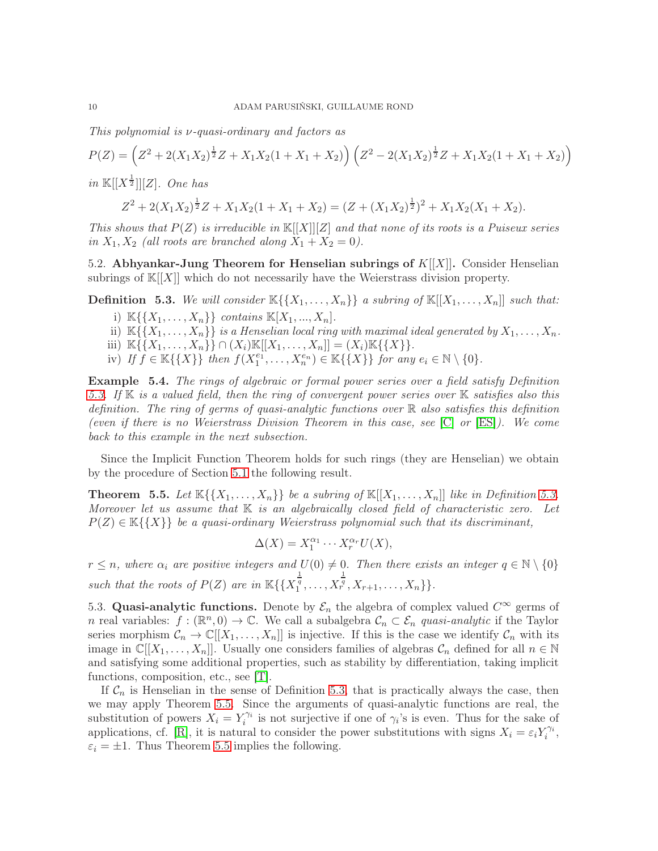This polynomial is ν-quasi-ordinary and factors as

$$
P(Z) = \left(Z^2 + 2(X_1X_2)^{\frac{1}{2}}Z + X_1X_2(1 + X_1 + X_2)\right)\left(Z^2 - 2(X_1X_2)^{\frac{1}{2}}Z + X_1X_2(1 + X_1 + X_2)\right)
$$

in  $\mathbb{K}[[X^{\frac{1}{2}}]][Z]$ . One has

$$
Z^{2} + 2(X_{1}X_{2})^{\frac{1}{2}}Z + X_{1}X_{2}(1 + X_{1} + X_{2}) = (Z + (X_{1}X_{2})^{\frac{1}{2}})^{2} + X_{1}X_{2}(X_{1} + X_{2}).
$$

This shows that  $P(Z)$  is irreducible in  $\mathbb{K}[[X]][Z]$  and that none of its roots is a Puiseux series in  $X_1, X_2$  (all roots are branched along  $X_1 + X_2 = 0$ ).

5.2. Abhyankar-Jung Theorem for Henselian subrings of  $K[[X]]$ . Consider Henselian subrings of  $\mathbb{K}[[X]]$  which do not necessarily have the Weierstrass division property.

<span id="page-9-0"></span>**Definition 5.3.** We will consider  $\mathbb{K}\{\{X_1,\ldots,X_n\}\}\$ a subring of  $\mathbb{K}[[X_1,\ldots,X_n]]$  such that:

- i)  $\mathbb{K}\{\{X_1, ..., X_n\}\}\$ contains  $\mathbb{K}[X_1, ..., X_n].$
- ii)  $\mathbb{K}\{\{X_1,\ldots,X_n\}\}\$ is a Henselian local ring with maximal ideal generated by  $X_1,\ldots,X_n$ .
- iii)  $\mathbb{K}\{\{X_1,\ldots,X_n\}\}\cap (X_i)\mathbb{K}[[X_1,\ldots,X_n]] = (X_i)\mathbb{K}\{\{X\}\}.$
- iv) If  $\widehat{f} \in \mathbb{K}\{\{X\}\}\$  then  $f(X_1^{e_1}, \ldots, X_n^{e_n}) \in \mathbb{K}\{\{X\}\}\$  for any  $e_i \in \mathbb{N} \setminus \{0\}.$

Example 5.4. The rings of algebraic or formal power series over a field satisfy Definition [5.3.](#page-9-0) If  $\mathbb K$  is a valued field, then the ring of convergent power series over  $\mathbb K$  satisfies also this definition. The ring of germs of quasi-analytic functions over  $\mathbb R$  also satisfies this definition (even if there is no Weierstrass Division Theorem in this case, see [\[C\]](#page-12-25) or [\[ES\]](#page-12-26)). We come back to this example in the next subsection.

Since the Implicit Function Theorem holds for such rings (they are Henselian) we obtain by the procedure of Section [5.1](#page-7-1) the following result.

<span id="page-9-1"></span>**Theorem 5.5.** Let  $\mathbb{K}\{\{X_1,\ldots,X_n\}\}\$  be a subring of  $\mathbb{K}[[X_1,\ldots,X_n]]$  like in Definition [5.3.](#page-9-0) Moreover let us assume that  $K$  is an algebraically closed field of characteristic zero. Let  $P(Z) \in \mathbb{K}\{\{X\}\}\$ be a quasi-ordinary Weierstrass polynomial such that its discriminant,

$$
\Delta(X) = X_1^{\alpha_1} \cdots X_r^{\alpha_r} U(X),
$$

 $r \leq n$ , where  $\alpha_i$  are positive integers and  $U(0) \neq 0$ . Then there exists an integer  $q \in \mathbb{N} \setminus \{0\}$ such that the roots of  $P(Z)$  are in  $\mathbb{K}\left\{\left\{X_i^{\frac{1}{q}},\ldots,X\right\}\right\}$  $\frac{1}{r^q}, X_{r+1}, \ldots, X_n\}$ .

5.3. Quasi-analytic functions. Denote by  $\mathcal{E}_n$  the algebra of complex valued  $C^{\infty}$  germs of n real variables:  $f : (\mathbb{R}^n, 0) \to \mathbb{C}$ . We call a subalgebra  $\mathcal{C}_n \subset \mathcal{E}_n$  quasi-analytic if the Taylor series morphism  $\mathcal{C}_n \to \mathbb{C}[[X_1,\ldots,X_n]]$  is injective. If this is the case we identify  $\mathcal{C}_n$  with its image in  $\mathbb{C}[[X_1,\ldots,X_n]]$ . Usually one considers families of algebras  $\mathcal{C}_n$  defined for all  $n \in \mathbb{N}$ and satisfying some additional properties, such as stability by differentiation, taking implicit functions, composition, etc., see [\[T\]](#page-12-27).

If  $C_n$  is Henselian in the sense of Definition [5.3,](#page-9-0) that is practically always the case, then we may apply Theorem [5.5.](#page-9-1) Since the arguments of quasi-analytic functions are real, the substitution of powers  $X_i = Y_i^{\gamma_i}$  is not surjective if one of  $\gamma_i$ 's is even. Thus for the sake of applications, cf. [\[R\]](#page-12-10), it is natural to consider the power substitutions with signs  $X_i = \varepsilon_i Y_i^{\gamma_i}$ ,  $\varepsilon_i = \pm 1$ . Thus Theorem [5.5](#page-9-1) implies the following.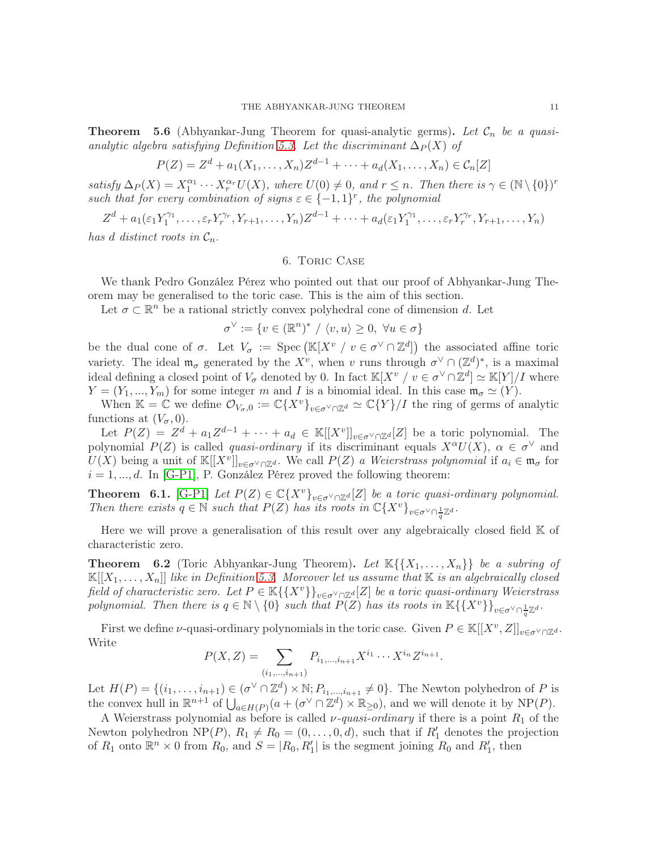**Theorem 5.6** (Abhyankar-Jung Theorem for quasi-analytic germs). Let  $\mathcal{C}_n$  be a quasi-analytic algebra satisfying Definition [5.3.](#page-9-0) Let the discriminant  $\Delta_P(X)$  of

$$
P(Z) = Z^{d} + a_{1}(X_{1},...,X_{n})Z^{d-1} + \cdots + a_{d}(X_{1},...,X_{n}) \in C_{n}[Z]
$$

satisfy  $\Delta_P(X) = X_1^{\alpha_1} \cdots X_r^{\alpha_r} U(X)$ , where  $U(0) \neq 0$ , and  $r \leq n$ . Then there is  $\gamma \in (\mathbb{N} \setminus \{0\})^r$ such that for every combination of signs  $\varepsilon \in \{-1,1\}^r$ , the polynomial

 $Z^d + a_1(\varepsilon_1 Y_1^{\gamma_1})$  $\epsilon_1^{\gamma_1}, \ldots, \epsilon_r Y_r^{\gamma_r}, Y_{r+1}, \ldots, Y_n) Z^{d-1} + \cdots + a_d(\epsilon_1 Y_1^{\gamma_1})$  $\mathcal{E}_1^{\gamma_1}, \ldots, \varepsilon_r Y_r^{\gamma_r}, Y_{r+1}, \ldots, Y_n)$ 

<span id="page-10-0"></span>has d distinct roots in  $C_n$ .

### 6. Toric Case

We thank Pedro González Pérez who pointed out that our proof of Abhyankar-Jung Theorem may be generalised to the toric case. This is the aim of this section.

Let  $\sigma \subset \mathbb{R}^n$  be a rational strictly convex polyhedral cone of dimension d. Let

 $\sigma^{\vee} := \{ v \in (\mathbb{R}^n)^* / \langle v, u \rangle \geq 0, \ \forall u \in \sigma \}$ 

be the dual cone of  $\sigma$ . Let  $V_{\sigma} := \text{Spec}(\mathbb{K}[X^v \mid v \in \sigma^{\vee} \cap \mathbb{Z}^d])$  the associated affine toric variety. The ideal  $\mathfrak{m}_{\sigma}$  generated by the  $X^{\nu}$ , when v runs through  $\sigma^{\vee} \cap (\mathbb{Z}^d)^*$ , is a maximal ideal defining a closed point of  $V_{\sigma}$  denoted by 0. In fact  $\mathbb{K}[X^v \mid v \in \sigma^{\vee} \cap \mathbb{Z}^d] \simeq \mathbb{K}[Y]/I$  where  $Y = (Y_1, ..., Y_m)$  for some integer m and I is a binomial ideal. In this case  $\mathfrak{m}_{\sigma} \simeq (Y)$ .

When K =  $\mathbb{C}$  we define  $\mathcal{O}_{V_{\sigma},0} := \mathbb{C}\{X^v\}_{v\in\sigma^{\vee}\cap\mathbb{Z}^d} \simeq \mathbb{C}\{Y\}/I$  the ring of germs of analytic functions at  $(V_{\sigma}, 0)$ .

Let  $P(Z) = Z^d + a_1 Z^{d-1} + \cdots + a_d \in \mathbb{K}[[X^v]]_{v \in \sigma^{\vee} \cap \mathbb{Z}^d}[Z]$  be a toric polynomial. The polynomial  $P(Z)$  is called *quasi-ordinary* if its discriminant equals  $X^{\alpha}U(X)$ ,  $\alpha \in \sigma^{\vee}$  and  $U(X)$  being a unit of  $\mathbb{K}[[X^v]]_{v \in \sigma^\vee \cap \mathbb{Z}^d}$ . We call  $P(Z)$  a Weierstrass polynomial if  $a_i \in \mathfrak{m}_\sigma$  for  $i = 1, \ldots, d$ . In [\[G-P1\]](#page-12-13), P. González Pérez proved the following theorem:

**Theorem 6.1.** [\[G-P1\]](#page-12-13) Let  $P(Z) \in \mathbb{C}\lbrace X^v \rbrace_{v \in \sigma^{\vee} \cap \mathbb{Z}^d}[Z]$  be a toric quasi-ordinary polynomial. Then there exists  $q \in \mathbb{N}$  such that  $P(Z)$  has its roots in  $\mathbb{C}\lbrace X^v \rbrace_{v \in \sigma^{\vee} \cap \frac{1}{q} \mathbb{Z}^d}$ .

Here we will prove a generalisation of this result over any algebraically closed field  $K$  of characteristic zero.

<span id="page-10-1"></span>**Theorem 6.2** (Toric Abhyankar-Jung Theorem). Let  $\mathbb{K}\{X_1,\ldots,X_n\}$  be a subring of  $\mathbb{K}[[X_1,\ldots,X_n]]$  like in Definition [5.3.](#page-9-0) Moreover let us assume that  $\mathbb{K}$  is an algebraically closed field of characteristic zero. Let  $P \in \mathbb{K}\{\{X^v\}\}_{v \in \sigma^\vee \cap \mathbb{Z}^d}[Z]$  be a toric quasi-ordinary Weierstrass polynomial. Then there is  $q \in \mathbb{N} \setminus \{0\}$  such that  $P(Z)$  has its roots in  $\mathbb{K}\{\{X^v\}\}_{v \in \sigma \setminus \cap \frac{1}{q}\mathbb{Z}^d}$ .

First we define v-quasi-ordinary polynomials in the toric case. Given  $P \in \mathbb{K}[[X^v, Z]]_{v \in \sigma^{\vee} \cap \mathbb{Z}^d}$ . Write

$$
P(X, Z) = \sum_{(i_1, \dots, i_{n+1})} P_{i_1, \dots, i_{n+1}} X^{i_1} \cdots X^{i_n} Z^{i_{n+1}}.
$$

Let  $H(P) = \{(i_1, \ldots, i_{n+1}) \in (\sigma^{\vee} \cap \mathbb{Z}^d) \times \mathbb{N}; P_{i_1, \ldots, i_{n+1}} \neq 0\}$ . The Newton polyhedron of P is the convex hull in  $\mathbb{R}^{n+1}$  of  $\bigcup_{a \in H(P)} (a + (\sigma^{\vee} \cap \mathbb{Z}^d) \times \mathbb{R}_{\geq 0})$ , and we will denote it by NP(P).

A Weierstrass polynomial as before is called  $\nu$ -quasi-ordinary if there is a point  $R_1$  of the Newton polyhedron NP(P),  $R_1 \neq R_0 = (0, \ldots, 0, d)$ , such that if  $R'_1$  denotes the projection of  $R_1$  onto  $\mathbb{R}^n \times 0$  from  $R_0$ , and  $S = |R_0, R'_1|$  is the segment joining  $R_0$  and  $R'_1$ , then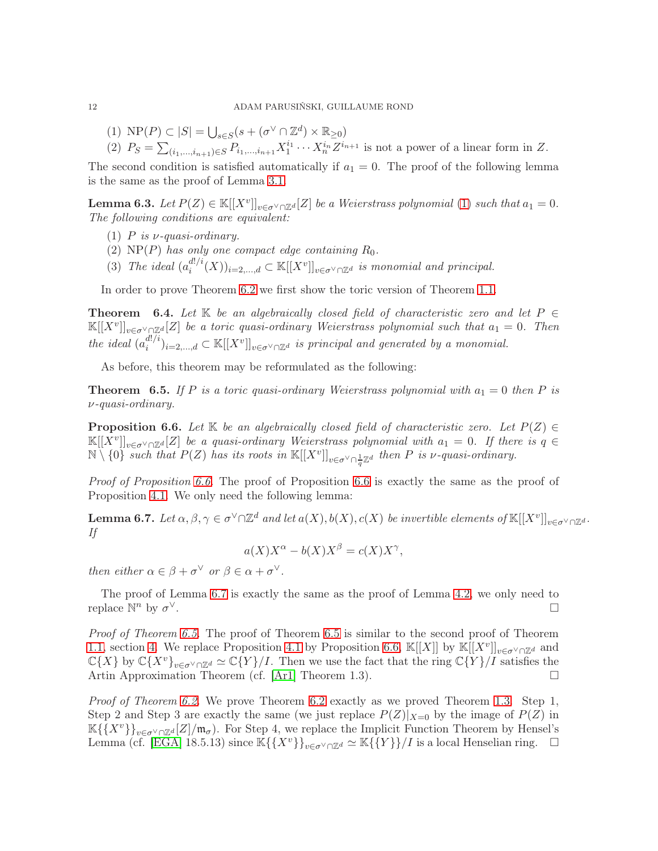- (1)  $\text{NP}(P) \subset |S| = \bigcup_{s \in S} (s + (\sigma^{\vee} \cap \mathbb{Z}^d) \times \mathbb{R}_{\geq 0})$
- (2)  $P_S = \sum_{(i_1,\dots,i_{n+1})\in S} P_{i_1,\dots,i_{n+1}} X_1^{i_1} \cdots X_n^{i_n} Z^{i_{n+1}}$  is not a power of a linear form in Z.

The second condition is satisfied automatically if  $a_1 = 0$ . The proof of the following lemma is the same as the proof of Lemma [3.1.](#page-3-1)

**Lemma 6.3.** Let  $P(Z) \in \mathbb{K}[[X^v]]_{v \in \sigma^{\vee} \cap \mathbb{Z}^d}[Z]$  be a Weierstrass polynomial [\(1\)](#page-0-3) such that  $a_1 = 0$ . The following conditions are equivalent:

- (1) P is  $\nu$ -quasi-ordinary.
- (2)  $NP(P)$  has only one compact edge containing  $R_0$ .
- (3) The ideal  $(a_i^{d!/i})$  $\binom{d!}{i}(X)_{i=2,\ldots,d} \subset \mathbb{K}[[X^v]]_{v \in \sigma^\vee \cap \mathbb{Z}^d}$  is monomial and principal.

In order to prove Theorem [6.2](#page-10-1) we first show the toric version of Theorem [1.1.](#page-0-0)

**Theorem** 6.4. Let K be an algebraically closed field of characteristic zero and let  $P \in$  $\mathbb{K}[[X^v]]_{v \in \sigma^{\vee} \cap \mathbb{Z}^d}[Z]$  be a toric quasi-ordinary Weierstrass polynomial such that  $a_1 = 0$ . Then the ideal  $(a_i^{d!/i})$  $\mathcal{L}^{d!/i}_i$ )<sub>i=2,...,d</sub>  $\subset \mathbb{K}[[X^v]]_{v \in \sigma^{\vee} \cap \mathbb{Z}^d}$  is principal and generated by a monomial.

As before, this theorem may be reformulated as the following:

<span id="page-11-2"></span>**Theorem 6.5.** If P is a toric quasi-ordinary Weierstrass polynomial with  $a_1 = 0$  then P is ν-quasi-ordinary.

<span id="page-11-0"></span>**Proposition 6.6.** Let K be an algebraically closed field of characteristic zero. Let  $P(Z) \in$  $\mathbb{K}[[X^v]]_{v \in \sigma^{\vee} \cap \mathbb{Z}^d}[Z]$  be a quasi-ordinary Weierstrass polynomial with  $a_1 = 0$ . If there is  $q \in$  $\mathbb{N} \setminus \{0\}$  such that  $P(Z)$  has its roots in  $\mathbb{K}[[X^v]]_{v \in \sigma^{\vee} \cap \frac{1}{q} \mathbb{Z}^d}$  then P is v-quasi-ordinary.

Proof of Proposition [6.6.](#page-11-0) The proof of Proposition [6.6](#page-11-0) is exactly the same as the proof of Proposition [4.1.](#page-5-2) We only need the following lemma:

<span id="page-11-1"></span>**Lemma 6.7.** Let  $\alpha, \beta, \gamma \in \sigma^{\vee} \cap \mathbb{Z}^{d}$  and let  $a(X), b(X), c(X)$  be invertible elements of  $\mathbb{K}[[X^v]]_{v \in \sigma^{\vee} \cap \mathbb{Z}^{d}}$ . If

 $a(X)X^{\alpha} - b(X)X^{\beta} = c(X)X^{\gamma},$ 

then either  $\alpha \in \beta + \sigma^{\vee}$  or  $\beta \in \alpha + \sigma^{\vee}$ .

The proof of Lemma [6.7](#page-11-1) is exactly the same as the proof of Lemma [4.2,](#page-5-1) we only need to replace  $\mathbb{N}^n$  by  $\sigma$ <sup>∨</sup>.

Proof of Theorem [6.5.](#page-11-2) The proof of Theorem [6.5](#page-11-2) is similar to the second proof of Theorem [1.1,](#page-0-0) section [4.](#page-5-0) We replace Proposition [4.1](#page-5-2) by Proposition [6.6,](#page-11-0)  $\mathbb{K}[[X]]$  by  $\mathbb{K}[[X^v]]_{v \in \sigma^{\vee} \cap \mathbb{Z}^d}$  and  $\mathbb{C}\{X\}$  by  $\mathbb{C}\{X^v\}_{v\in \sigma^{\vee}\cap\mathbb{Z}^d}\simeq \mathbb{C}\{Y\}/I$ . Then we use the fact that the ring  $\mathbb{C}\{Y\}/I$  satisfies the Artin Approximation Theorem (cf. [\[Ar1\]](#page-12-23) Theorem 1.3).

Proof of Theorem [6.2.](#page-10-1) We prove Theorem [6.2](#page-10-1) exactly as we proved Theorem [1.3.](#page-0-2) Step 1, Step 2 and Step 3 are exactly the same (we just replace  $P(Z)|_{X=0}$  by the image of  $P(Z)$  in  $\mathbb{K}\{\{X^v\}\}_{v\in \sigma^{\vee}\cap\mathbb{Z}^d}[Z]/\mathfrak{m}_{\sigma}$ . For Step 4, we replace the Implicit Function Theorem by Hensel's Lemma (cf. [\[EGA\]](#page-12-28) 18.5.13) since  $\mathbb{K}\{\{X^v\}\}_{v\in\sigma^\vee\cap\mathbb{Z}^d}\simeq \mathbb{K}\{\{Y\}\}/I$  is a local Henselian ring.  $\Box$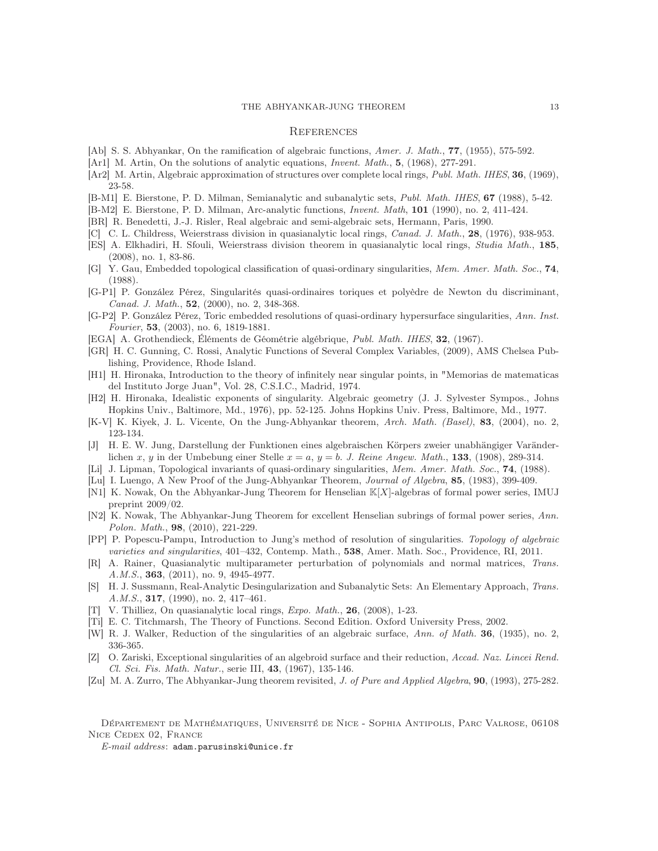#### THE ABHYANKAR-JUNG THEOREM 13

### **REFERENCES**

- <span id="page-12-7"></span>[Ab] S. S. Abhyankar, On the ramification of algebraic functions, Amer. J. Math., 77, (1955), 575-592.
- <span id="page-12-23"></span>[Ar1] M. Artin, On the solutions of analytic equations, *Invent. Math.*, 5, (1968), 277-291.
- <span id="page-12-24"></span>[Ar2] M. Artin, Algebraic approximation of structures over complete local rings, Publ. Math. IHES, 36, (1969), 23-58.
- <span id="page-12-19"></span>[B-M1] E. Bierstone, P. D. Milman, Semianalytic and subanalytic sets, Publ. Math. IHES, 67 (1988), 5-42.
- <span id="page-12-9"></span>[B-M2] E. Bierstone, P. D. Milman, Arc-analytic functions, Invent. Math, 101 (1990), no. 2, 411-424.
- <span id="page-12-16"></span>[BR] R. Benedetti, J.-J. Risler, Real algebraic and semi-algebraic sets, Hermann, Paris, 1990.
- <span id="page-12-25"></span>[C] C. L. Childress, Weierstrass division in quasianalytic local rings, Canad. J. Math., 28, (1976), 938-953.
- <span id="page-12-26"></span>[ES] A. Elkhadiri, H. Sfouli, Weierstrass division theorem in quasianalytic local rings, Studia Math., 185, (2008), no. 1, 83-86.
- <span id="page-12-20"></span>[G] Y. Gau, Embedded topological classification of quasi-ordinary singularities, Mem. Amer. Math. Soc., 74, (1988).
- <span id="page-12-13"></span>[G-P1] P. González Pérez, Singularités quasi-ordinaires toriques et polyèdre de Newton du discriminant, Canad. J. Math., 52, (2000), no. 2, 348-368.
- <span id="page-12-22"></span>[G-P2] P. González Pérez, Toric embedded resolutions of quasi-ordinary hypersurface singularities, Ann. Inst. Fourier, 53, (2003), no. 6, 1819-1881.
- <span id="page-12-28"></span>[EGA] A. Grothendieck, Éléments de Géométrie algébrique, Publ. Math. IHES, 32, (1967).
- <span id="page-12-15"></span>[GR] H. C. Gunning, C. Rossi, Analytic Functions of Several Complex Variables, (2009), AMS Chelsea Publishing, Providence, Rhode Island.
- <span id="page-12-0"></span>[H1] H. Hironaka, Introduction to the theory of infinitely near singular points, in "Memorias de matematicas del Instituto Jorge Juan", Vol. 28, C.S.I.C., Madrid, 1974.
- <span id="page-12-18"></span>[H2] H. Hironaka, Idealistic exponents of singularity. Algebraic geometry (J. J. Sylvester Sympos., Johns Hopkins Univ., Baltimore, Md., 1976), pp. 52-125. Johns Hopkins Univ. Press, Baltimore, Md., 1977.
- <span id="page-12-2"></span>[K-V] K. Kiyek, J. L. Vicente, On the Jung-Abhyankar theorem, Arch. Math. (Basel), 83, (2004), no. 2, 123-134.
- <span id="page-12-3"></span>[J] H. E. W. Jung, Darstellung der Funktionen eines algebraischen Körpers zweier unabhängiger Varänderlichen x, y in der Umbebung einer Stelle  $x = a$ ,  $y = b$ . J. Reine Angew. Math., 133, (1908), 289-314.
- <span id="page-12-21"></span>[Li] J. Lipman, Topological invariants of quasi-ordinary singularities, Mem. Amer. Math. Soc., **74**, (1988).
- <span id="page-12-1"></span>[Lu] I. Luengo, A New Proof of the Jung-Abhyankar Theorem, *Journal of Algebra*, **85**, (1983), 399-409.
- <span id="page-12-11"></span>[N1] K. Nowak, On the Abhyankar-Jung Theorem for Henselian K[X]-algebras of formal power series, IMUJ preprint 2009/02.
- <span id="page-12-12"></span>[N2] K. Nowak, The Abhyankar-Jung Theorem for excellent Henselian subrings of formal power series, Ann. Polon. Math., 98, (2010), 221-229.
- <span id="page-12-6"></span>[PP] P. Popescu-Pampu, Introduction to Jung's method of resolution of singularities. Topology of algebraic varieties and singularities, 401–432, Contemp. Math., 538, Amer. Math. Soc., Providence, RI, 2011.
- <span id="page-12-10"></span>[R] A. Rainer, Quasianalytic multiparameter perturbation of polynomials and normal matrices, Trans. A.M.S., **363**, (2011), no. 9, 4945-4977.
- <span id="page-12-14"></span>[S] H. J. Sussmann, Real-Analytic Desingularization and Subanalytic Sets: An Elementary Approach, Trans. A.M.S., **317**, (1990), no. 2, 417-461.
- <span id="page-12-27"></span>[T] V. Thilliez, On quasianalytic local rings, Expo. Math., 26, (2008), 1-23.
- <span id="page-12-17"></span>[Ti] E. C. Titchmarsh, The Theory of Functions. Second Edition. Oxford University Press, 2002.
- <span id="page-12-4"></span>[W] R. J. Walker, Reduction of the singularities of an algebraic surface, Ann. of Math. 36, (1935), no. 2, 336-365.
- <span id="page-12-5"></span>[Z] O. Zariski, Exceptional singularities of an algebroid surface and their reduction, Accad. Naz. Lincei Rend. Cl. Sci. Fis. Math. Natur., serie III, 43, (1967), 135-146.
- <span id="page-12-8"></span>[Zu] M. A. Zurro, The Abhyankar-Jung theorem revisited, J. of Pure and Applied Algebra, 90, (1993), 275-282.

Département de Mathématiques, Université de Nice - Sophia Antipolis, Parc Valrose, 06108 Nice Cedex 02, France

E-mail address: adam.parusinski@unice.fr